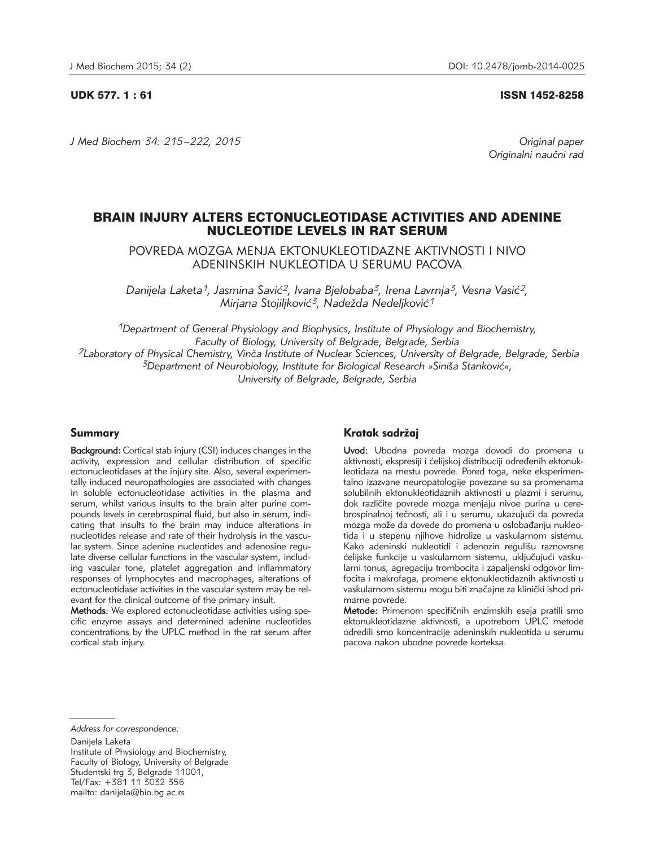### UDK 577. 1 : 61 ISSN 1452-8258

*J Med Biochem 34: 215 –222, 2015 Original paper*

Originalni naučni rad

# BRAIN INJURY ALTERS ECTONUCLEOTIDASE ACTIVITIES AND ADENINE NUCLEOTIDE LEVELS IN RAT SERUM

POVREDA MOZGA MENJA EKTONUKLEOTIDAZNE AKTIVNOSTI I NIVO ADENINSKIH NUKLEOTIDA U SERUMU PACOVA

Danijela Laketa<sup>1</sup>, Jasmina Savić<sup>2</sup>, Ivana Bjelobaba<sup>3</sup>, Irena Lavrnja<sup>3</sup>, Vesna Vasić<sup>2</sup>, *Mirjana Stojiljković<sup>3</sup>, Nadežda Nedeljković<sup>1</sup>* 

*1Department of General Physiology and Biophysics, Institute of Physiology and Biochemistry, Faculty of Biology, University of Belgrade, Belgrade, Serbia 2Laboratory of Physical Chemistry, Vin~a Institute of Nuclear Sciences, University of Belgrade, Belgrade, Serbia*  <sup>3</sup>Department of Neurobiology, Institute for Biological Research »Siniša Stanković«, *University of Belgrade, Belgrade, Serbia*

# Summary

Background: Cortical stab injury (CSI) induces changes in the activity, expression and cellular distribution of specific ectonucleotidases at the injury site. Also, several experimentally induced neuropathologies are associated with changes in soluble ectonucleotidase activities in the plasma and serum, whilst various insults to the brain alter purine compounds levels in cerebrospinal fluid, but also in serum, indicating that insults to the brain may induce alterations in nucleotides release and rate of their hydrolysis in the vascular system. Since adenine nucleotides and adenosine regulate diverse cellular functions in the vascular system, including vascular tone, platelet aggregation and inflammatory responses of lymphocytes and macrophages, alterations of ectonucleotidase activities in the vascular system may be relevant for the clinical outcome of the primary insult.

Methods: We explored ectonucleotidase activities using specific enzyme assays and determined adenine nucleotides concentrations by the UPLC method in the rat serum after cortical stab injury.

# Kratak sadržaj

Uvod: Ubodna povreda mozga dovodi do promena u aktivnosti, ekspresiji i ćelijskoj distribuciji određenih ektonukleotidaza na mestu povrede. Pored toga, neke eksperimentalno izazvane neuropatologije povezane su sa promenama solubilnih ektonukleotidaznih aktivnosti u plazmi i serumu, dok različite povrede mozga menjaju nivoe purina u cerebrospinalnoj tečnosti, ali i u serumu, ukazujući da povreda mozga može da dovede do promena u oslobađanju nukleotida i u stepenu njihove hidrolize u vaskularnom sistemu. Kako adeninski nukleotidi i adenozin regulišu raznovrsne ćelijske funkcije u vaskularnom sistemu, uključujući vaskularni tonus, agregaciju trombocita i zapaljenski odgovor limfocita i makrofaga, promene ektonukleotidaznih aktivnosti u vaskularnom sistemu mogu biti značajne za klinički ishod primarne povrede.

Metode: Primenom specifičnih enzimskih eseja pratili smo ektonukleotidazne aktivnosti, a upotrebom UPLC metode odredili smo koncentracije adeninskih nukleotida u serumu pacova nakon ubodne povrede korteksa.

Danijela Laketa

Institute of Physiology and Biochemistry, Faculty of Biology, University of Belgrade Studentski trg 3, Belgrade 11001, Tel/Fax: +381 11 3032 356 mailto: danijela@bio.bg.ac.rs

*Address for correspondence:*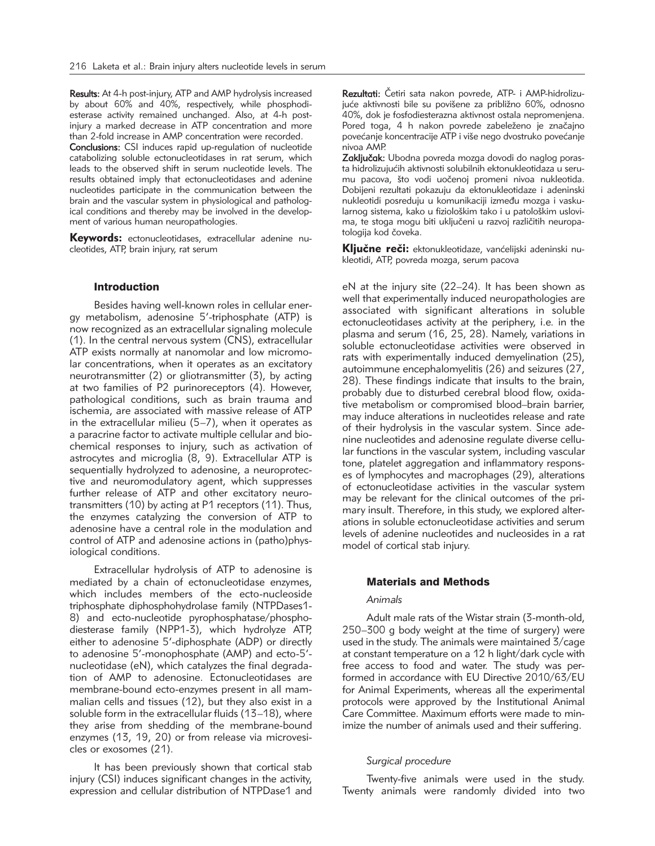Results: At 4-h post-injury, ATP and AMP hydrolysis increased by about 60% and 40%, respectively, while phosphodiesterase activity remained unchanged. Also, at 4-h postinjury a marked decrease in ATP concentration and more than 2-fold increase in AMP concentration were recorded.

Conclusions: CSI induces rapid up-regulation of nucleotide catabolizing soluble ectonucleotidases in rat serum, which leads to the observed shift in serum nucleotide levels. The results obtained imply that ectonucleotidases and adenine nucleotides participate in the communication between the brain and the vascular system in physiological and pathological conditions and thereby may be involved in the development of various human neuropathologies.

Keywords: ectonucleotidases, extracellular adenine nucleotides, ATP, brain injury, rat serum

# Introduction

Besides having well-known roles in cellular energy metabolism, adenosine 5'-triphosphate (ATP) is now recognized as an extracellular signaling molecule (1). In the central nervous system (CNS), extracellular ATP exists normally at nanomolar and low micromolar concentrations, when it operates as an excitatory neurotransmitter (2) or gliotransmitter (3), by acting at two families of P2 purinoreceptors (4). However, pathological conditions, such as brain trauma and ischemia, are associated with massive release of ATP in the extracellular milieu (5–7), when it operates as a paracrine factor to activate multiple cellular and biochemical responses to injury, such as activation of astrocytes and microglia (8, 9). Extracellular ATP is sequentially hydrolyzed to adenosine, a neuroprotective and neuromodulatory agent, which suppresses further release of ATP and other excitatory neurotransmitters (10) by acting at P1 receptors (11). Thus, the enzymes catalyzing the conversion of ATP to adenosine have a central role in the modulation and control of ATP and adenosine actions in (patho)physiological conditions.

Extracellular hydrolysis of ATP to adenosine is mediated by a chain of ectonucleotidase enzymes, which includes members of the ecto-nucleoside triphosphate diphosphohydrolase family (NTPDases1- 8) and ecto-nucleotide pyrophosphatase/phosphodiesterase family (NPP1-3), which hydrolyze ATP, either to adenosine 5'-diphosphate (ADP) or directly to adenosine 5'-monophosphate (AMP) and ecto-5' nucleotidase (eN), which catalyzes the final degradation of AMP to adenosine. Ectonucleotidases are membrane-bound ecto-enzymes present in all mammalian cells and tissues (12), but they also exist in a soluble form in the extracellular fluids (13–18), where they arise from shedding of the membrane-bound enzymes (13, 19, 20) or from release via microvesicles or exosomes (21).

It has been previously shown that cortical stab injury (CSI) induces significant changes in the activity, expression and cellular distribution of NTPDase1 and

Rezultati: Četiri sata nakon povrede, ATP- i AMP-hidrolizujuće aktivnosti bile su povišene za približno 60%, odnosno 40%, dok je fosfodiesterazna aktivnost ostala nepromenjena. Pored toga, 4 h nakon povrede zabeleženo je značajno povećanje koncentracije ATP i više nego dvostruko povećanje nivoa AMP.

Zaključak: Ubodna povreda mozga dovodi do naglog porasta hidrolizujućih aktivnosti solubilnih ektonukleotidaza u serumu pacova, što vodi uočenoj promeni nivoa nukleotida. Dobijeni rezultati pokazuju da ektonukleotidaze i adeninski nukleotidi posreduju u komunikaciji između mozga i vaskularnog sistema, kako u fiziološkim tako i u patološkim uslovima, te stoga mogu biti uključeni u razvoj različitih neuropatologija kod čoveka.

Ključne reči: ektonukleotidaze, vanćelijski adeninski nukleotidi, ATP, povreda mozga, serum pacova

eN at the injury site (22–24). It has been shown as well that experimentally induced neuropathologies are associated with significant alterations in soluble ectonucleotidases activity at the periphery, i.e*.* in the plasma and serum (16, 25, 28). Namely, variations in soluble ectonucleotidase activities were observed in rats with experimentally induced demyelination (25), autoimmune encephalomyelitis (26) and seizures (27, 28). These findings indicate that insults to the brain, probably due to disturbed cerebral blood flow, oxidative metabolism or compromised blood–brain barrier, may induce alterations in nucleotides release and rate of their hydrolysis in the vascular system. Since adenine nucleotides and adenosine regulate diverse cellular functions in the vascular system, including vascular tone, platelet aggregation and inflammatory responses of lymphocytes and macrophages (29), alterations of ectonucleotidase activities in the vascular system may be relevant for the clinical outcomes of the primary insult. Therefore, in this study, we explored alterations in soluble ectonucleotidase activities and serum levels of adenine nucleotides and nucleosides in a rat model of cortical stab injury.

# Materials and Methods

#### *Animals*

Adult male rats of the Wistar strain (3-month-old, 250–300 g body weight at the time of surgery) were used in the study. The animals were maintained 3/cage at constant temperature on a 12 h light/dark cycle with free access to food and water. The study was performed in accordance with EU Directive 2010/63/EU for Animal Experiments, whereas all the experimental protocols were approved by the Institutional Animal Care Committee. Maximum efforts were made to minimize the number of animals used and their suffering.

### *Surgical procedure*

Twenty-five animals were used in the study. Twenty animals were randomly divided into two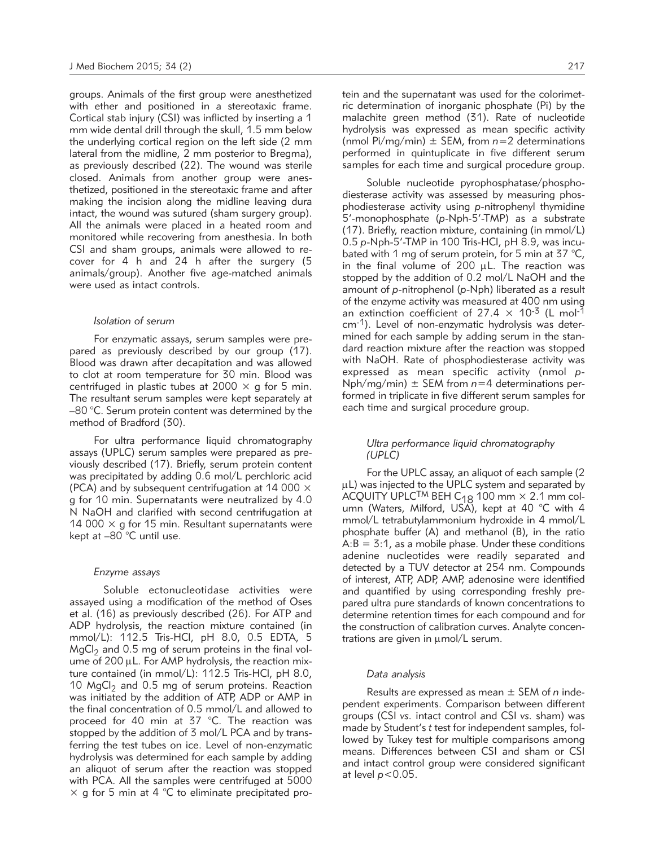groups. Animals of the first group were anesthetized with ether and positioned in a stereotaxic frame. Cortical stab injury (CSI) was inflicted by inserting a 1 mm wide dental drill through the skull, 1.5 mm below the underlying cortical region on the left side (2 mm lateral from the midline, 2 mm posterior to Bregma), as previously described (22). The wound was sterile closed. Animals from another group were anesthetized, positioned in the stereotaxic frame and after making the incision along the midline leaving dura intact, the wound was sutured (sham surgery group). All the animals were placed in a heated room and monitored while recovering from anesthesia. In both CSI and sham groups, animals were allowed to recover for 4 h and 24 h after the surgery (5 animals/group). Another five age-matched animals were used as intact controls.

#### *Isolation of serum*

For enzymatic assays, serum samples were prepared as previously described by our group (17). Blood was drawn after decapitation and was allowed to clot at room temperature for 30 min. Blood was centrifuged in plastic tubes at 2000  $\times$  g for 5 min. The resultant serum samples were kept separately at –80 °C. Serum protein content was determined by the method of Bradford (30).

For ultra performance liquid chromatography assays (UPLC) serum samples were prepared as previously described (17). Briefly, serum protein content was precipitated by adding 0.6 mol/L perchloric acid (PCA) and by subsequent centrifugation at 14 000  $\times$ g for 10 min. Supernatants were neutralized by 4.0 N NaOH and clarified with second centrifugation at 14 000  $\times$  g for 15 min. Resultant supernatants were kept at –80 °C until use.

#### *Enzyme assays*

Soluble ectonucleotidase activities were assayed using a modification of the method of Oses et al. (16) as previously described (26). For ATP and ADP hydrolysis, the reaction mixture contained (in mmol/L): 112.5 Tris-HCl, pH 8.0, 0.5 EDTA, 5  $MgCl<sub>2</sub>$  and 0.5 mg of serum proteins in the final volume of 200  $\mu$ L. For AMP hydrolysis, the reaction mixture contained (in mmol/L): 112.5 Tris-HCl, pH 8.0, 10  $MgCl<sub>2</sub>$  and 0.5 mg of serum proteins. Reaction was initiated by the addition of ATP, ADP or AMP in the final concentration of 0.5 mmol/L and allowed to proceed for 40 min at 37 °C. The reaction was stopped by the addition of 3 mol/L PCA and by transferring the test tubes on ice. Level of non-enzymatic hydrolysis was determined for each sample by adding an aliquot of serum after the reaction was stopped with PCA. All the samples were centrifuged at 5000  $\times$  g for 5 min at 4 °C to eliminate precipitated protein and the supernatant was used for the colorimetric determination of inorganic phosphate (Pi) by the malachite green method (31). Rate of nucleotide hydrolysis was expressed as mean specific activity (nmol Pi/mg/min) ± SEM, from *n*=2 determinations performed in quintuplicate in five different serum samples for each time and surgical procedure group.

Soluble nucleotide pyrophosphatase/phosphodiesterase activity was assessed by measuring phosphodiesterase activity using *p*-nitrophenyl thymidine 5'-monophosphate (*p*-Nph-5'-TMP) as a substrate (17). Briefly, reaction mixture, containing (in mmol/L) 0.5 *p*-Nph-5'-TMP in 100 Tris-HCl, pH 8.9, was incubated with 1 mg of serum protein, for 5 min at 37 °C, in the final volume of  $200 \mu L$ . The reaction was stopped by the addition of 0.2 mol/L NaOH and the amount of *p*-nitrophenol (*p*-Nph) liberated as a result of the enzyme activity was measured at 400 nm using an extinction coefficient of 27.4  $\times$  10<sup>-3</sup> (L mol<sup>-1</sup> cm-1). Level of non-enzymatic hydrolysis was determined for each sample by adding serum in the standard reaction mixture after the reaction was stopped with NaOH. Rate of phosphodiesterase activity was expressed as mean specific activity (nmol *p*- $Nph/mg/min) \pm SEM$  from  $n=4$  determinations performed in triplicate in five different serum samples for each time and surgical procedure group.

### *Ultra performance liquid chromatography (UPLC)*

For the UPLC assay, an aliquot of each sample (2 uL) was injected to the UPLC system and separated by  $\overline{A}$ CQUITY UPLC<sup>TM</sup> BEH C<sub>18</sub> 100 mm  $\times$  2.1 mm col-<br>umn (Waters, Milford, USA), kept at 40 °C with 4 mmol/L tetrabutylammonium hydroxide in 4 mmol/L phosphate buffer (A) and methanol (B), in the ratio  $A:B = 3:1$ , as a mobile phase. Under these conditions adenine nucleotides were readily separated and detected by a TUV detector at 254 nm. Compounds of interest, ATP, ADP, AMP, adenosine were identified and quantified by using corresponding freshly prepared ultra pure standards of known concentrations to determine retention times for each compound and for the construction of calibration curves. Analyte concentrations are given in  $\mu$ mol/L serum.

#### *Data analysis*

Results are expressed as mean ± SEM of *n* independent experiments. Comparison between different groups (CSI *vs.* intact control and CSI *vs.* sham) was made by Student's *t* test for independent samples, followed by Tukey test for multiple comparisons among means. Differences between CSI and sham or CSI and intact control group were considered significant at level *p*<0.05.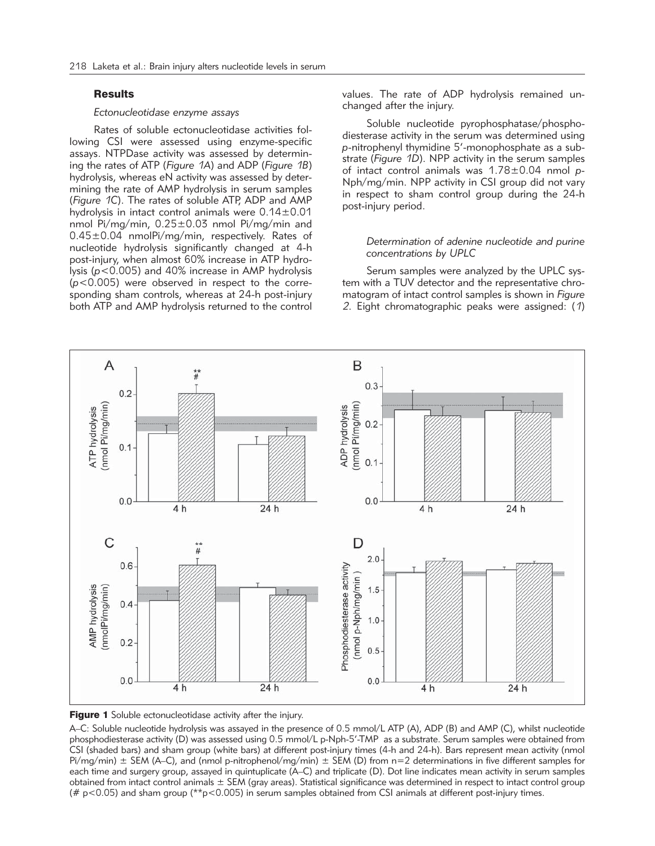# **Results**

### *Ectonucleotidase enzyme assays*

Rates of soluble ectonucleotidase activities following CSI were assessed using enzyme-specific assays. NTPDase activity was assessed by determining the rates of ATP (*Figure 1A*) and ADP (*Figure 1B*) hydrolysis, whereas eN activity was assessed by determining the rate of AMP hydrolysis in serum samples (*Figure 1C*). The rates of soluble ATP, ADP and AMP hydrolysis in intact control animals were 0.14±0.01 nmol Pi/mg/min, 0.25±0.03 nmol Pi/mg/min and 0.45±0.04 nmolPi/mg/min, respectively. Rates of nucleotide hydrolysis significantly changed at 4-h post-injury, when almost 60% increase in ATP hydrolysis (*p*<0.005) and 40% increase in AMP hydrolysis (*p*<0.005) were observed in respect to the corresponding sham controls, whereas at 24-h post-injury both ATP and AMP hydrolysis returned to the control values. The rate of ADP hydrolysis remained unchanged after the injury.

Soluble nucleotide pyrophosphatase/phosphodiesterase activity in the serum was determined using *p*-nitrophenyl thymidine 5'-monophosphate as a substrate (*Figure 1D*). NPP activity in the serum samples of intact control animals was 1.78±0.04 nmol *p*-Nph/mg/min. NPP activity in CSI group did not vary in respect to sham control group during the 24-h post-injury period.

### *Determination of adenine nucleotide and purine concentrations by UPLC*

Serum samples were analyzed by the UPLC system with a TUV detector and the representative chromatogram of intact control samples is shown in *Figure 2*. Eight chromatographic peaks were assigned: (*1*)





A–C: Soluble nucleotide hydrolysis was assayed in the presence of 0.5 mmol/L ATP (A), ADP (B) and AMP (C), whilst nucleotide phosphodiesterase activity (D) was assessed using 0.5 mmol/L p-Nph-5'-TMP as a substrate. Serum samples were obtained from CSI (shaded bars) and sham group (white bars) at different post-injury times (4-h and 24-h). Bars represent mean activity (nmol  $Pi/mg/min$ )  $\pm$  SEM (A–C), and (nmol p-nitrophenol/mg/min)  $\pm$  SEM (D) from n=2 determinations in five different samples for each time and surgery group, assayed in quintuplicate (A–C) and triplicate (D). Dot line indicates mean activity in serum samples obtained from intact control animals ± SEM (gray areas). Statistical significance was determined in respect to intact control group (#  $p$ <0.05) and sham group (\*\* $p$ <0.005) in serum samples obtained from CSI animals at different post-injury times.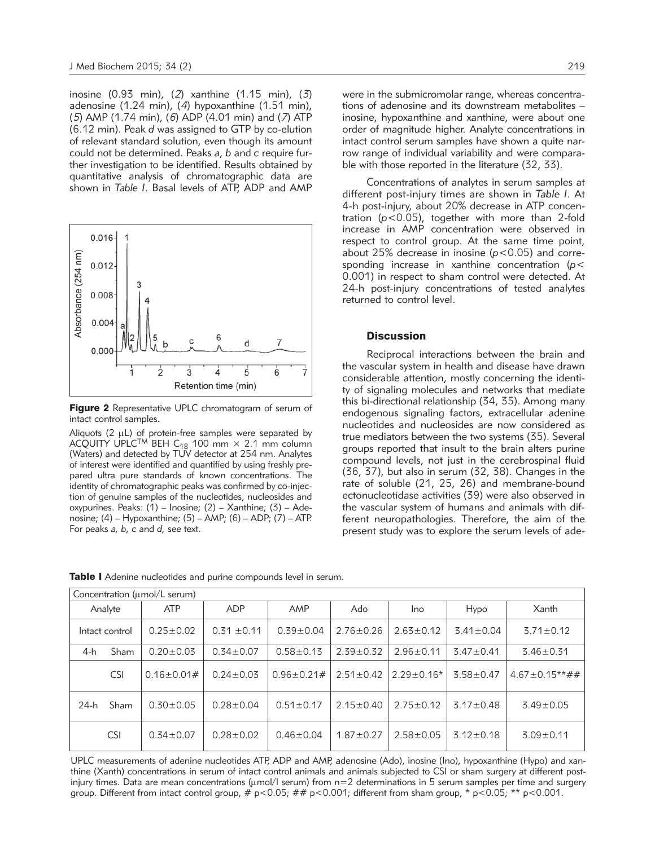inosine (0.93 min), (*2*) xanthine (1.15 min), (*3*) adenosine (1.24 min), (*4*) hypoxanthine (1.51 min), (*5*) AMP (1.74 min), (*6*) ADP (4.01 min) and (*7*) ATP (6.12 min). Peak *d* was assigned to GTP by co-elution of relevant standard solution, even though its amount could not be determined. Peaks *a*, *b* and *c* require further investigation to be identified. Results obtained by quantitative analysis of chromatographic data are shown in *Table I*. Basal levels of ATP, ADP and AMP



Figure 2 Representative UPLC chromatogram of serum of intact control samples.

Aliquots ( $2 \mu L$ ) of protein-free samples were separated by ACQUITY UPLC<sup>TM</sup> BEH C<sub>18</sub> 100 mm  $\times$  2.1 mm column (Waters) and detected by TUV detector at 254 nm. Analytes of interest were identified and quantified by using freshly prepared ultra pure standards of known concentrations. The identity of chromatographic peaks was confirmed by co-injection of genuine samples of the nucleotides, nucleosides and oxypurines. Peaks:  $(1)$  – Inosine;  $(2)$  – Xanthine;  $(3)$  – Adenosine; (4) – Hypoxanthine; (5) – AMP; (6) – ADP; (7) – ATP. For peaks *a, b, c* and *d,* see text.

were in the submicromolar range, whereas concentrations of adenosine and its downstream metabolites – inosine, hypoxanthine and xanthine, were about one order of magnitude higher. Analyte concentrations in intact control serum samples have shown a quite narrow range of individual variability and were comparable with those reported in the literature (32, 33).

Concentrations of analytes in serum samples at different post-injury times are shown in *Table I*. At 4-h post-injury, about 20% decrease in ATP concentration (*p*<0.05), together with more than 2-fold increase in AMP concentration were observed in respect to control group. At the same time point, about 25% decrease in inosine (*p*<0.05) and corresponding increase in xanthine concentration (*p*< 0.001) in respect to sham control were detected. At 24-h post-injury concentrations of tested analytes returned to control level.

# **Discussion**

Reciprocal interactions between the brain and the vascular system in health and disease have drawn considerable attention, mostly concerning the identity of signaling molecules and networks that mediate this bi-directional relationship (34, 35). Among many endogenous signaling factors, extracellular adenine nucleotides and nucleosides are now considered as true mediators between the two systems (35). Several groups reported that insult to the brain alters purine compound levels, not just in the cerebrospinal fluid (36, 37), but also in serum (32, 38). Changes in the rate of soluble (21, 25, 26) and membrane-bound ectonucleotidase activities (39) were also observed in the vascular system of humans and animals with different neuropathologies. Therefore, the aim of the present study was to explore the serum levels of ade-

| Concentration (umol/L serum) |            |                    |                 |                    |                 |                 |                 |                         |
|------------------------------|------------|--------------------|-----------------|--------------------|-----------------|-----------------|-----------------|-------------------------|
| Analyte                      |            | <b>ATP</b>         | <b>ADP</b>      | AMP                | Ado             | Ino             | Hypo            | Xanth                   |
| Intact control               |            | $0.25 \pm 0.02$    | $0.31 \pm 0.11$ | $0.39 \pm 0.04$    | $2.76 \pm 0.26$ | $2.63 \pm 0.12$ | $3.41 \pm 0.04$ | $3.71 \pm 0.12$         |
| 4-h                          | Sham       | $0.20 \pm 0.03$    | $0.34 \pm 0.07$ | $0.58 \pm 0.13$    | $2.39 \pm 0.32$ | $2.96 \pm 0.11$ | $3.47 \pm 0.41$ | $3.46 \pm 0.31$         |
|                              | <b>CSI</b> | $0.16 \pm 0.01 \#$ | $0.24 \pm 0.03$ | $0.96 \pm 0.21 \#$ | $2.51 \pm 0.42$ | $2.29 + 0.16*$  | $3.58 \pm 0.47$ | $4.67 \pm 0.15** \# \#$ |
| 24-h                         | Sham       | $0.30 \pm 0.05$    | $0.28 \pm 0.04$ | $0.51 \pm 0.17$    | $2.15 \pm 0.40$ | $2.75 \pm 0.12$ | $3.17 \pm 0.48$ | $3.49 \pm 0.05$         |
|                              | <b>CSI</b> | $0.34 \pm 0.07$    | $0.28 \pm 0.02$ | $0.46 \pm 0.04$    | $1.87 \pm 0.27$ | $2.58 \pm 0.05$ | $3.12 \pm 0.18$ | $3.09 \pm 0.11$         |

Table I Adenine nucleotides and purine compounds level in serum.

UPLC measurements of adenine nucleotides ATP, ADP and AMP, adenosine (Ado), inosine (Ino), hypoxanthine (Hypo) and xanthine (Xanth) concentrations in serum of intact control animals and animals subjected to CSI or sham surgery at different postinjury times. Data are mean concentrations (umol/l serum) from n=2 determinations in 5 serum samples per time and surgery group. Different from intact control group,  $# p<0.05$ ;  $# p<0.001$ ; different from sham group,  $* p<0.05$ ;  $** p<0.001$ .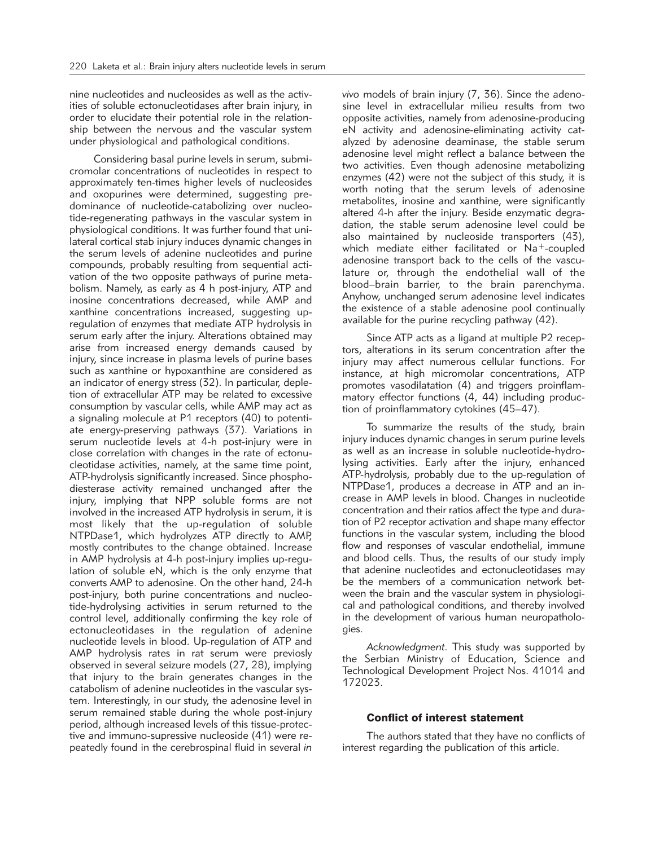nine nucleotides and nucleosides as well as the activities of soluble ectonucleotidases after brain injury, in order to elucidate their potential role in the relationship between the nervous and the vascular system under physiological and pathological conditions.

Considering basal purine levels in serum, submicromolar concentrations of nucleotides in respect to approximately ten-times higher levels of nucleosides and oxopurines were determined, suggesting predominance of nucleotide-catabolizing over nucleotide-regenerating pathways in the vascular system in physiological conditions. It was further found that unilateral cortical stab injury induces dynamic changes in the serum levels of adenine nucleotides and purine compounds, probably resulting from sequential activation of the two opposite pathways of purine metabolism. Namely, as early as 4 h post-injury, ATP and inosine concentrations decreased, while AMP and xanthine concentrations increased, suggesting upregulation of enzymes that mediate ATP hydrolysis in serum early after the injury. Alterations obtained may arise from increased energy demands caused by injury, since increase in plasma levels of purine bases such as xanthine or hypoxanthine are considered as an indicator of energy stress (32). In particular, depletion of extracellular ATP may be related to excessive consumption by vascular cells, while AMP may act as a signaling molecule at P1 receptors (40) to potentiate energy-preserving pathways (37). Variations in serum nucleotide levels at 4-h post-injury were in close correlation with changes in the rate of ectonucleotidase activities, namely, at the same time point, ATP-hydrolysis significantly increased. Since phosphodiesterase activity remained unchanged after the injury, implying that NPP soluble forms are not involved in the increased ATP hydrolysis in serum, it is most likely that the up-regulation of soluble NTPDase1, which hydrolyzes ATP directly to AMP, mostly contributes to the change obtained. Increase in AMP hydrolysis at 4-h post-injury implies up-regulation of soluble eN, which is the only enzyme that converts AMP to adenosine. On the other hand, 24-h post-injury, both purine concentrations and nucleotide-hydrolysing activities in serum returned to the control level, additionally confirming the key role of ectonucleotidases in the regulation of adenine nucleotide levels in blood. Up-regulation of ATP and AMP hydrolysis rates in rat serum were previosly observed in several seizure models (27, 28), implying that injury to the brain generates changes in the catabolism of adenine nucleotides in the vascular system. Interestingly, in our study, the adenosine level in serum remained stable during the whole post-injury period, although increased levels of this tissue-protective and immuno-supressive nucleoside (41) were repeatedly found in the cerebrospinal fluid in several *in*

*vivo* models of brain injury (7, 36). Since the adenosine level in extracellular milieu results from two opposite activities, namely from adenosine-producing eN activity and adenosine-eliminating activity catalyzed by adenosine deaminase, the stable serum adenosine level might reflect a balance between the two activities. Even though adenosine metabolizing enzymes (42) were not the subject of this study, it is worth noting that the serum levels of adenosine metabolites, inosine and xanthine, were significantly altered 4-h after the injury. Beside enzymatic degradation, the stable serum adenosine level could be also maintained by nucleoside transporters (43), which mediate either facilitated or Na<sup>+</sup>-coupled adenosine transport back to the cells of the vasculature or, through the endothelial wall of the blood–brain barrier, to the brain parenchyma. Anyhow, unchanged serum adenosine level indicates the existence of a stable adenosine pool continually available for the purine recycling pathway (42).

Since ATP acts as a ligand at multiple P2 receptors, alterations in its serum concentration after the injury may affect numerous cellular functions. For instance, at high micromolar concentrations, ATP promotes vasodilatation (4) and triggers proinflammatory effector functions (4, 44) including production of proinflammatory cytokines (45–47).

To summarize the results of the study, brain injury induces dynamic changes in serum purine levels as well as an increase in soluble nucleotide-hydrolysing activities. Early after the injury, enhanced ATP-hydrolysis, probably due to the up-regulation of NTPDase1, produces a decrease in ATP and an increase in AMP levels in blood. Changes in nucleotide concentration and their ratios affect the type and duration of P2 receptor activation and shape many effector functions in the vascular system, including the blood flow and responses of vascular endothelial, immune and blood cells. Thus, the results of our study imply that adenine nucleotides and ectonucleotidases may be the members of a communication network between the brain and the vascular system in physiological and pathological conditions, and thereby involved in the development of various human neuropathologies.

*Acknowledgment.* This study was supported by the Serbian Ministry of Education, Science and Technological Development Project Nos. 41014 and 172023.

# Conflict of interest statement

The authors stated that they have no conflicts of interest regarding the publication of this article.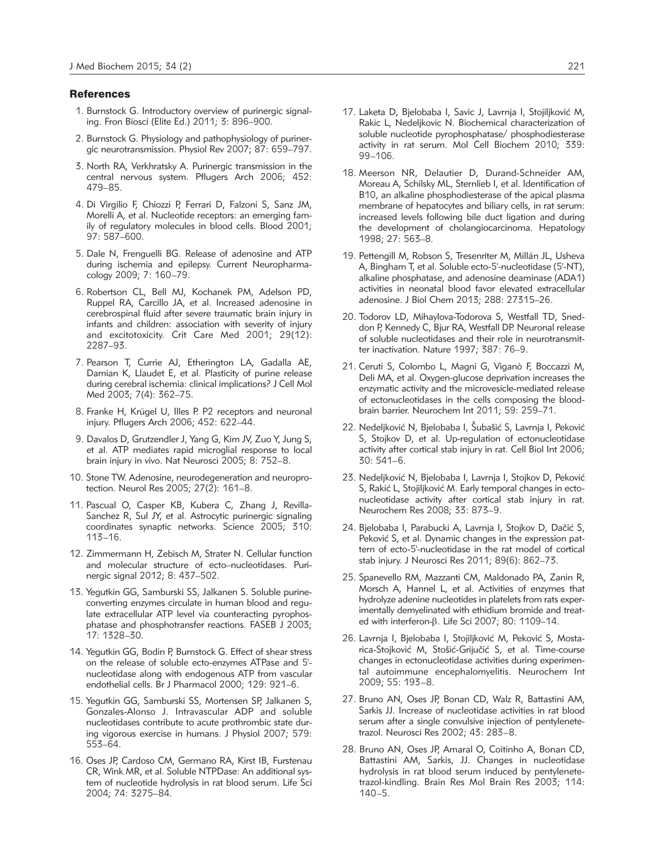### **References**

- 1. Burnstock G. Introductory overview of purinergic signaling. Fron Biosci (Elite Ed.) 2011; 3: 896–900.
- 2. Burnstock G. Physiology and pathophysiology of purinergic neurotransmission. Physiol Rev 2007; 87: 659–797.
- 3. North RA, Verkhratsky A. Purinergic transmission in the central nervous system. Pflugers Arch 2006; 452: 479–85.
- 4. Di Virgilio F, Chiozzi P, Ferrari D, Falzoni S, Sanz JM, Morelli A, et al. Nucleotide receptors: an emerging family of regulatory molecules in blood cells. Blood 2001; 97: 587–600.
- 5. Dale N, Frenguelli BG. Release of adenosine and ATP during ischemia and epilepsy. Current Neuropharmacology 2009; 7: 160–79.
- 6. Robertson CL, Bell MJ, Kochanek PM, Adelson PD, Ruppel RA, Carcillo JA, et al. Increased adenosine in cerebrospinal fluid after severe traumatic brain injury in infants and children: association with severity of injury and excitotoxicity. Crit Care Med 2001; 29(12): 2287–93.
- 7. Pearson T, Currie AJ, Etherington LA, Gadalla AE, Damian K, Llaudet E, et al. Plasticity of purine release during cerebral ischemia: clinical implications? J Cell Mol Med 2003; 7(4): 362–75.
- 8. Franke H, Krügel U, Illes P. P2 receptors and neuronal injury. Pflugers Arch 2006; 452: 622–44.
- 9. Davalos D, Grutzendler J, Yang G, Kim JV, Zuo Y, Jung S, et al. ATP mediates rapid microglial response to local brain injury in vivo. Nat Neurosci 2005; 8: 752–8.
- 10. Stone TW. Adenosine, neurodegeneration and neuroprotection. Neurol Res 2005; 27(2): 161–8.
- 11. Pascual O, Casper KB, Kubera C, Zhang J, Revilla-Sanchez R, Sul JY, et al. Astrocytic purinergic signaling coordinates synaptic networks. Science 2005; 310: 113–16.
- 12. Zimmermann H, Zebisch M, Strater N. Cellular function and molecular structure of ecto-nucleotidases. Purinergic signal 2012; 8: 437–502.
- 13. Yegutkin GG, Samburski SS, Jalkanen S. Soluble purineconverting enzymes circulate in human blood and regulate extracellular ATP level via counteracting pyrophosphatase and phosphotransfer reactions. FASEB J 2003; 17: 1328–30.
- 14. Yegutkin GG, Bodin P, Burnstock G. Effect of shear stress on the release of soluble ecto-enzymes ATPase and 5' nucleotidase along with endogenous ATP from vascular endothelial cells. Br J Pharmacol 2000; 129: 921–6.
- 15. Yegutkin GG, Samburski SS, Mortensen SP, Jalkanen S, Gonzales-Alonso J. Intravascular ADP and soluble nucleotidases contribute to acute prothrombic state during vigorous exercise in humans. J Physiol 2007; 579: 553–64.
- 16. Oses JP, Cardoso CM, Germano RA, Kirst IB, Furstenau CR, Wink MR, et al. Soluble NTPDase: An additional system of nucleotide hydrolysis in rat blood serum. Life Sci 2004; 74: 3275–84.
- 17. Laketa D, Bjelobaba I, Savic J, Lavrnja I, Stojiljković M, Rakic L, Nedeljkovic N. Biochemical characterization of soluble nucleotide pyrophosphatase/ phosphodiesterase activity in rat serum. Mol Cell Biochem 2010; 339: 99–106.
- 18. Meerson NR, Delautier D, Durand-Schneider AM, Moreau A, Schilsky ML, Sternlieb I, et al. Identification of B10, an alkaline phosphodiesterase of the apical plasma membrane of hepatocytes and biliary cells, in rat serum: increased levels following bile duct ligation and during the development of cholangiocarcinoma. Hepatology 1998; 27: 563–8.
- 19. Pettengill M, Robson S, Tresenriter M, Millán JL, Usheva A, Bingham T, et al. Soluble ecto-5'-nucleotidase (5'-NT), alkaline phosphatase, and adenosine deaminase (ADA1) activities in neonatal blood favor elevated extracellular adenosine. J Biol Chem 2013; 288: 27315–26.
- 20. Todorov LD, Mihaylova-Todorova S, Westfall TD, Sneddon P, Kennedy C, Bjur RA, Westfall DP. Neuronal release of soluble nucleotidases and their role in neurotransmitter inactivation. Nature 1997; 387: 76–9.
- 21. Ceruti S, Colombo L, Magni G, Viganò F, Boccazzi M, Deli MA, et al. Oxygen-glucose deprivation increases the enzymatic activity and the microvesicle-mediated release of ectonucleotidases in the cells composing the bloodbrain barrier. Neurochem Int 2011; 59: 259–71.
- 22. Nedeljković N, Bjelobaba I, Šubašić S, Lavrnja I, Peković S, Stojkov D, et al. Up-regulation of ectonucleotidase activity after cortical stab injury in rat. Cell Biol Int 2006; 30: 541–6.
- 23. Nedeljković N, Bjelobaba I, Lavrnja I, Stojkov D, Peković S, Rakić L, Stojiljković M. Early temporal changes in ectonucleotidase activity after cortical stab injury in rat. Neurochem Res 2008; 33: 873–9.
- 24. Bjelobaba I, Parabucki A, Lavrnja I, Stojkov D, Dačić S, Peković S, et al. Dynamic changes in the expression pattern of ecto-5'-nucleotidase in the rat model of cortical stab injury. J Neurosci Res 2011; 89(6): 862–73.
- 25. Spanevello RM, Mazzanti CM, Maldonado PA, Zanin R, Morsch A, Hannel L, et al. Activities of enzymes that hydrolyze adenine nucleotides in platelets from rats experimentally demyelinated with ethidium bromide and treated with interferon-β. Life Sci 2007; 80: 1109-14.
- 26. Lavrnja I, Bjelobaba I, Stojiljković M, Peković S, Mostarica-Stojković M, Stošić-Grijučić S, et al. Time-course changes in ectonucleotidase activities during experimental autoimmune encephalomyelitis. Neurochem Int 2009; 55: 193–8.
- 27. Bruno AN, Oses JP, Bonan CD, Walz R, Battastini AM, Sarkis JJ. Increase of nucleotidase activities in rat blood serum after a single convulsive injection of pentylenetetrazol. Neurosci Res 2002; 43: 283–8.
- 28. Bruno AN, Oses JP, Amaral O, Coitinho A, Bonan CD, Battastini AM, Sarkis, JJ. Changes in nucleotidase hydrolysis in rat blood serum induced by pentylenetetrazol-kindling. Brain Res Mol Brain Res 2003; 114: 140–5.